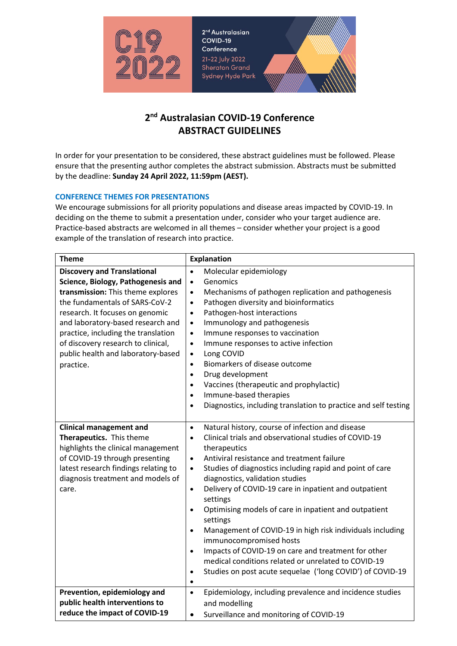

2<sup>nd</sup> Australasian COVID-19 Conference 21-22 July 2022 **Sheraton Grand** Sydney Hyde Park

# **2nd Australasian COVID-19 Conference ABSTRACT GUIDELINES**

In order for your presentation to be considered, these abstract guidelines must be followed. Please ensure that the presenting author completes the abstract submission. Abstracts must be submitted by the deadline: **Sunday 24 April 2022, 11:59pm (AEST).**

## **CONFERENCE THEMES FOR PRESENTATIONS**

We encourage submissions for all priority populations and disease areas impacted by COVID-19. In deciding on the theme to submit a presentation under, consider who your target audience are. Practice-based abstracts are welcomed in all themes – consider whether your project is a good example of the translation of research into practice.

| <b>Theme</b>                                                                                                                                                                                                                                                                                                                                            | <b>Explanation</b>                                                                                                                                                                                                                                                                                                                                                                                                                                                                                                                                                                                                                                                                                                                                                                                                    |  |
|---------------------------------------------------------------------------------------------------------------------------------------------------------------------------------------------------------------------------------------------------------------------------------------------------------------------------------------------------------|-----------------------------------------------------------------------------------------------------------------------------------------------------------------------------------------------------------------------------------------------------------------------------------------------------------------------------------------------------------------------------------------------------------------------------------------------------------------------------------------------------------------------------------------------------------------------------------------------------------------------------------------------------------------------------------------------------------------------------------------------------------------------------------------------------------------------|--|
| <b>Discovery and Translational</b><br>Science, Biology, Pathogenesis and<br>transmission: This theme explores<br>the fundamentals of SARS-CoV-2<br>research. It focuses on genomic<br>and laboratory-based research and<br>practice, including the translation<br>of discovery research to clinical,<br>public health and laboratory-based<br>practice. | Molecular epidemiology<br>$\bullet$<br>Genomics<br>$\bullet$<br>Mechanisms of pathogen replication and pathogenesis<br>$\bullet$<br>Pathogen diversity and bioinformatics<br>$\bullet$<br>Pathogen-host interactions<br>$\bullet$<br>Immunology and pathogenesis<br>$\bullet$<br>Immune responses to vaccination<br>$\bullet$<br>Immune responses to active infection<br>$\bullet$<br>Long COVID<br>$\bullet$<br>Biomarkers of disease outcome<br>$\bullet$<br>Drug development<br>$\bullet$<br>Vaccines (therapeutic and prophylactic)<br>$\bullet$<br>Immune-based therapies<br>$\bullet$<br>Diagnostics, including translation to practice and self testing<br>$\bullet$                                                                                                                                           |  |
| <b>Clinical management and</b><br>Therapeutics. This theme<br>highlights the clinical management<br>of COVID-19 through presenting<br>latest research findings relating to<br>diagnosis treatment and models of<br>care.                                                                                                                                | Natural history, course of infection and disease<br>$\bullet$<br>Clinical trials and observational studies of COVID-19<br>$\bullet$<br>therapeutics<br>Antiviral resistance and treatment failure<br>$\bullet$<br>Studies of diagnostics including rapid and point of care<br>$\bullet$<br>diagnostics, validation studies<br>Delivery of COVID-19 care in inpatient and outpatient<br>$\bullet$<br>settings<br>Optimising models of care in inpatient and outpatient<br>$\bullet$<br>settings<br>Management of COVID-19 in high risk individuals including<br>$\bullet$<br>immunocompromised hosts<br>Impacts of COVID-19 on care and treatment for other<br>$\bullet$<br>medical conditions related or unrelated to COVID-19<br>Studies on post acute sequelae ('long COVID') of COVID-19<br>$\bullet$<br>$\bullet$ |  |
| Prevention, epidemiology and<br>public health interventions to                                                                                                                                                                                                                                                                                          | Epidemiology, including prevalence and incidence studies<br>$\bullet$<br>and modelling                                                                                                                                                                                                                                                                                                                                                                                                                                                                                                                                                                                                                                                                                                                                |  |
| reduce the impact of COVID-19                                                                                                                                                                                                                                                                                                                           | Surveillance and monitoring of COVID-19<br>$\bullet$                                                                                                                                                                                                                                                                                                                                                                                                                                                                                                                                                                                                                                                                                                                                                                  |  |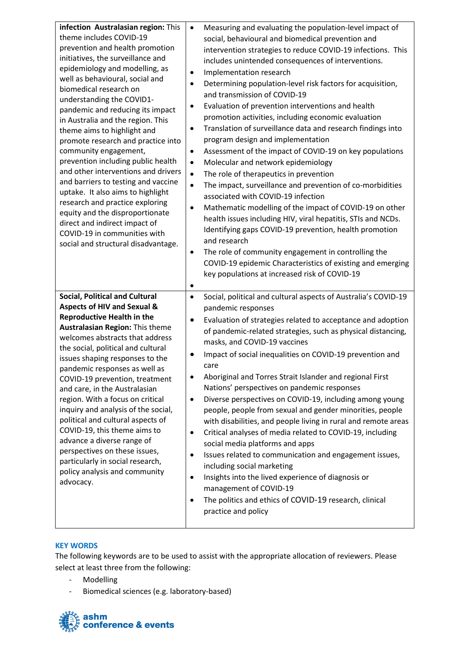| infection Australasian region: This<br>theme includes COVID-19<br>prevention and health promotion<br>initiatives, the surveillance and<br>epidemiology and modelling, as<br>well as behavioural, social and<br>biomedical research on<br>understanding the COVID1-<br>pandemic and reducing its impact<br>in Australia and the region. This<br>theme aims to highlight and<br>promote research and practice into<br>community engagement,<br>prevention including public health<br>and other interventions and drivers<br>and barriers to testing and vaccine<br>uptake. It also aims to highlight<br>research and practice exploring<br>equity and the disproportionate<br>direct and indirect impact of<br>COVID-19 in communities with<br>social and structural disadvantage. | Measuring and evaluating the population-level impact of<br>$\bullet$<br>social, behavioural and biomedical prevention and<br>intervention strategies to reduce COVID-19 infections. This<br>includes unintended consequences of interventions.<br>Implementation research<br>٠<br>Determining population-level risk factors for acquisition,<br>٠<br>and transmission of COVID-19<br>Evaluation of prevention interventions and health<br>$\bullet$<br>promotion activities, including economic evaluation<br>Translation of surveillance data and research findings into<br>٠<br>program design and implementation<br>Assessment of the impact of COVID-19 on key populations<br>٠<br>Molecular and network epidemiology<br>$\bullet$<br>The role of therapeutics in prevention<br>$\bullet$<br>The impact, surveillance and prevention of co-morbidities<br>$\bullet$<br>associated with COVID-19 infection<br>Mathematic modelling of the impact of COVID-19 on other<br>$\bullet$<br>health issues including HIV, viral hepatitis, STIs and NCDs.<br>Identifying gaps COVID-19 prevention, health promotion<br>and research<br>The role of community engagement in controlling the<br>COVID-19 epidemic Characteristics of existing and emerging<br>key populations at increased risk of COVID-19<br>$\bullet$ |
|----------------------------------------------------------------------------------------------------------------------------------------------------------------------------------------------------------------------------------------------------------------------------------------------------------------------------------------------------------------------------------------------------------------------------------------------------------------------------------------------------------------------------------------------------------------------------------------------------------------------------------------------------------------------------------------------------------------------------------------------------------------------------------|--------------------------------------------------------------------------------------------------------------------------------------------------------------------------------------------------------------------------------------------------------------------------------------------------------------------------------------------------------------------------------------------------------------------------------------------------------------------------------------------------------------------------------------------------------------------------------------------------------------------------------------------------------------------------------------------------------------------------------------------------------------------------------------------------------------------------------------------------------------------------------------------------------------------------------------------------------------------------------------------------------------------------------------------------------------------------------------------------------------------------------------------------------------------------------------------------------------------------------------------------------------------------------------------------------------------|
| <b>Social, Political and Cultural</b><br><b>Aspects of HIV and Sexual &amp;</b><br><b>Reproductive Health in the</b><br>Australasian Region: This theme<br>welcomes abstracts that address<br>the social, political and cultural<br>issues shaping responses to the<br>pandemic responses as well as<br>COVID-19 prevention, treatment<br>and care, in the Australasian<br>region. With a focus on critical<br>inquiry and analysis of the social,<br>political and cultural aspects of<br>COVID-19, this theme aims to<br>advance a diverse range of<br>perspectives on these issues,<br>particularly in social research,<br>policy analysis and community<br>advocacy.                                                                                                         | Social, political and cultural aspects of Australia's COVID-19<br>$\bullet$<br>pandemic responses<br>Evaluation of strategies related to acceptance and adoption<br>$\bullet$<br>of pandemic-related strategies, such as physical distancing,<br>masks, and COVID-19 vaccines<br>Impact of social inequalities on COVID-19 prevention and<br>$\bullet$<br>care<br>Aboriginal and Torres Strait Islander and regional First<br>٠<br>Nations' perspectives on pandemic responses<br>Diverse perspectives on COVID-19, including among young<br>٠<br>people, people from sexual and gender minorities, people<br>with disabilities, and people living in rural and remote areas<br>Critical analyses of media related to COVID-19, including<br>$\bullet$<br>social media platforms and apps<br>Issues related to communication and engagement issues,<br>$\bullet$<br>including social marketing<br>Insights into the lived experience of diagnosis or<br>٠<br>management of COVID-19<br>The politics and ethics of COVID-19 research, clinical<br>٠<br>practice and policy                                                                                                                                                                                                                                          |

## **KEY WORDS**

The following keywords are to be used to assist with the appropriate allocation of reviewers. Please select at least three from the following:

- Modelling
- Biomedical sciences (e.g. laboratory-based)

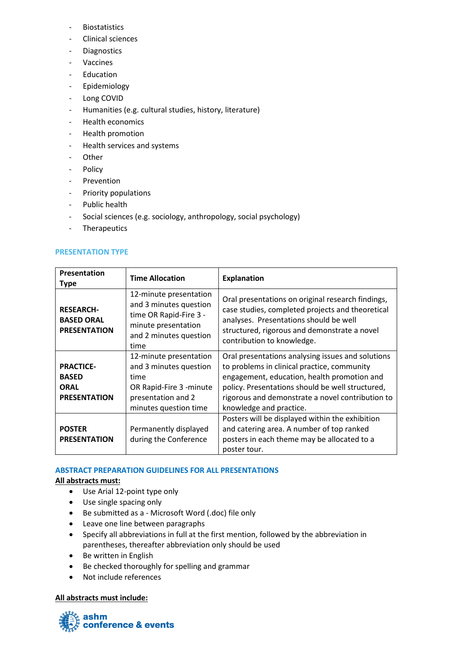- Biostatistics
- Clinical sciences
- Diagnostics
- Vaccines
- Education
- Epidemiology
- Long COVID
- Humanities (e.g. cultural studies, history, literature)
- Health economics
- Health promotion
- Health services and systems
- Other
- Policy
- Prevention
- Priority populations
- Public health
- Social sciences (e.g. sociology, anthropology, social psychology)
- Therapeutics

## **PRESENTATION TYPE**

| Presentation<br><b>Type</b>                                            | <b>Time Allocation</b>                                                                                                              | <b>Explanation</b>                                                                                                                                                                                                                                                                 |
|------------------------------------------------------------------------|-------------------------------------------------------------------------------------------------------------------------------------|------------------------------------------------------------------------------------------------------------------------------------------------------------------------------------------------------------------------------------------------------------------------------------|
| <b>RESEARCH-</b><br><b>BASED ORAL</b><br><b>PRESENTATION</b>           | 12-minute presentation<br>and 3 minutes question<br>time OR Rapid-Fire 3 -<br>minute presentation<br>and 2 minutes question<br>time | Oral presentations on original research findings,<br>case studies, completed projects and theoretical<br>analyses. Presentations should be well<br>structured, rigorous and demonstrate a novel<br>contribution to knowledge.                                                      |
| <b>PRACTICE-</b><br><b>BASED</b><br><b>ORAL</b><br><b>PRESENTATION</b> | 12-minute presentation<br>and 3 minutes question<br>time<br>OR Rapid-Fire 3 -minute<br>presentation and 2<br>minutes question time  | Oral presentations analysing issues and solutions<br>to problems in clinical practice, community<br>engagement, education, health promotion and<br>policy. Presentations should be well structured,<br>rigorous and demonstrate a novel contribution to<br>knowledge and practice. |
| <b>POSTER</b><br><b>PRESENTATION</b>                                   | Permanently displayed<br>during the Conference                                                                                      | Posters will be displayed within the exhibition<br>and catering area. A number of top ranked<br>posters in each theme may be allocated to a<br>poster tour.                                                                                                                        |

## **ABSTRACT PREPARATION GUIDELINES FOR ALL PRESENTATIONS**

## **All abstracts must:**

- Use Arial 12-point type only
- Use single spacing only
- Be submitted as a Microsoft Word (.doc) file only
- Leave one line between paragraphs
- Specify all abbreviations in full at the first mention, followed by the abbreviation in parentheses, thereafter abbreviation only should be used
- Be written in English
- Be checked thoroughly for spelling and grammar
- Not include references

## **All abstracts must include:**

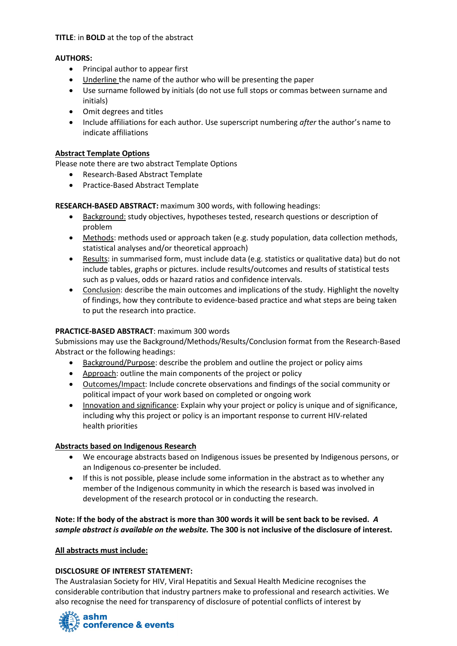## **TITLE**: in **BOLD** at the top of the abstract

# **AUTHORS:**

- Principal author to appear first
- Underline the name of the author who will be presenting the paper
- Use surname followed by initials (do not use full stops or commas between surname and initials)
- Omit degrees and titles
- Include affiliations for each author. Use superscript numbering *after* the author's name to indicate affiliations

## **Abstract Template Options**

Please note there are two abstract Template Options

- Research-Based Abstract Template
- Practice-Based Abstract Template

**RESEARCH-BASED ABSTRACT:** maximum 300 words, with following headings:

- Background: study objectives, hypotheses tested, research questions or description of problem
- Methods: methods used or approach taken (e.g. study population, data collection methods, statistical analyses and/or theoretical approach)
- Results: in summarised form, must include data (e.g. statistics or qualitative data) but do not include tables, graphs or pictures. include results/outcomes and results of statistical tests such as p values, odds or hazard ratios and confidence intervals.
- Conclusion: describe the main outcomes and implications of the study. Highlight the novelty of findings, how they contribute to evidence-based practice and what steps are being taken to put the research into practice.

# **PRACTICE-BASED ABSTRACT**: maximum 300 words

Submissions may use the Background/Methods/Results/Conclusion format from the Research-Based Abstract or the following headings:

- Background/Purpose: describe the problem and outline the project or policy aims
- Approach: outline the main components of the project or policy
- Outcomes/Impact: Include concrete observations and findings of the social community or political impact of your work based on completed or ongoing work
- Innovation and significance: Explain why your project or policy is unique and of significance, including why this project or policy is an important response to current HIV-related health priorities

## **Abstracts based on Indigenous Research**

- We encourage abstracts based on Indigenous issues be presented by Indigenous persons, or an Indigenous co-presenter be included.
- If this is not possible, please include some information in the abstract as to whether any member of the Indigenous community in which the research is based was involved in development of the research protocol or in conducting the research.

**Note: If the body of the abstract is more than 300 words it will be sent back to be revised.** *A sample abstract is available on the website.* **The 300 is not inclusive of the disclosure of interest.**

## **All abstracts must include:**

# **DISCLOSURE OF INTEREST STATEMENT:**

The Australasian Society for HIV, Viral Hepatitis and Sexual Health Medicine recognises the considerable contribution that industry partners make to professional and research activities. We also recognise the need for transparency of disclosure of potential conflicts of interest by

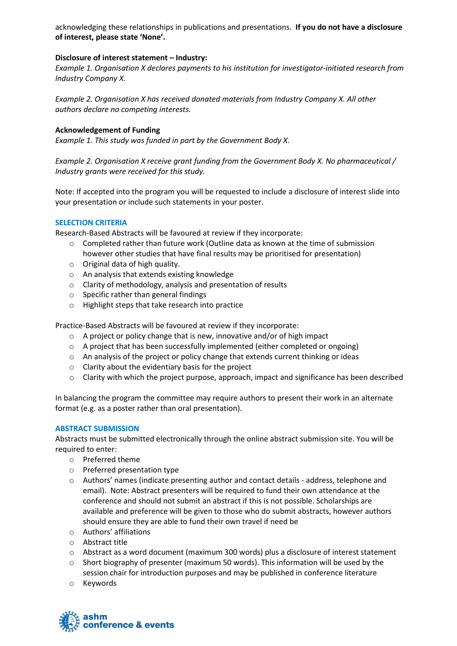acknowledging these relationships in publications and presentations. **If you do not have a disclosure of interest, please state 'None'.**

## **Disclosure of interest statement – Industry:**

*Example 1. Organisation X declares payments to his institution for investigator-initiated research from Industry Company X.*

*Example 2. Organisation X has received donated materials from Industry Company X. All other authors declare no competing interests.*

#### **Acknowledgement of Funding**

*Example 1. This study was funded in part by the Government Body X.*

*Example 2. Organisation X receive grant funding from the Government Body X. No pharmaceutical / Industry grants were received for this study.*

Note: If accepted into the program you will be requested to include a disclosure of interest slide into your presentation or include such statements in your poster.

#### **SELECTION CRITERIA**

Research-Based Abstracts will be favoured at review if they incorporate:

- o Completed rather than future work (Outline data as known at the time of submission however other studies that have final results may be prioritised for presentation)
- o Original data of high quality.
- o An analysis that extends existing knowledge
- o Clarity of methodology, analysis and presentation of results
- o Specific rather than general findings
- o Highlight steps that take research into practice

Practice-Based Abstracts will be favoured at review if they incorporate:

- o A project or policy change that is new, innovative and/or of high impact
- o A project that has been successfully implemented (either completed or ongoing)
- o An analysis of the project or policy change that extends current thinking or ideas
- o Clarity about the evidentiary basis for the project
- o Clarity with which the project purpose, approach, impact and significance has been described

In balancing the program the committee may require authors to present their work in an alternate format (e.g. as a poster rather than oral presentation).

#### **ABSTRACT SUBMISSION**

Abstracts must be submitted electronically through the online abstract submission site. You will be required to enter:

- o Preferred theme
- o Preferred presentation type
- o Authors' names (indicate presenting author and contact details address, telephone and email). Note: Abstract presenters will be required to fund their own attendance at the conference and should not submit an abstract if this is not possible. Scholarships are available and preference will be given to those who do submit abstracts, however authors should ensure they are able to fund their own travel if need be
- o Authors' affiliations
- o Abstract title
- $\circ$  Abstract as a word document (maximum 300 words) plus a disclosure of interest statement
- $\circ$  Short biography of presenter (maximum 50 words). This information will be used by the session chair for introduction purposes and may be published in conference literature
- o Keywords